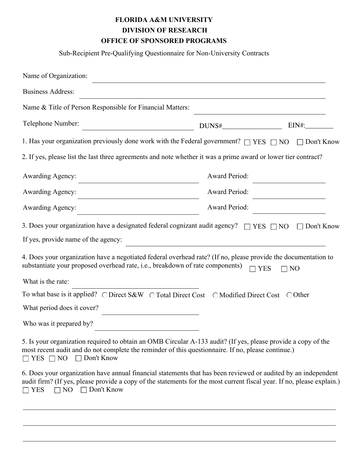## **FLORIDA A&M UNIVERSITY OFFICE OF SPONSORED PROGRAMS DIVISION OF RESEARCH**

Sub-Recipient Pre-Qualifying Questionnaire for Non-University Contracts

| Name of Organization:                                                                                                                                                                                                                                                             |                                                                            |              |  |  |  |
|-----------------------------------------------------------------------------------------------------------------------------------------------------------------------------------------------------------------------------------------------------------------------------------|----------------------------------------------------------------------------|--------------|--|--|--|
| <b>Business Address:</b>                                                                                                                                                                                                                                                          |                                                                            |              |  |  |  |
| Name & Title of Person Responsible for Financial Matters:                                                                                                                                                                                                                         |                                                                            |              |  |  |  |
| Telephone Number:                                                                                                                                                                                                                                                                 | DUNS#                                                                      | $EIN#$ :     |  |  |  |
| 1. Has your organization previously done work with the Federal government? $\Box$ YES $\Box$ NO $\Box$ Don't Know                                                                                                                                                                 |                                                                            |              |  |  |  |
| 2. If yes, please list the last three agreements and note whether it was a prime award or lower tier contract?                                                                                                                                                                    |                                                                            |              |  |  |  |
| <b>Awarding Agency:</b>                                                                                                                                                                                                                                                           | Award Period:                                                              |              |  |  |  |
| <b>Awarding Agency:</b>                                                                                                                                                                                                                                                           | Award Period:                                                              |              |  |  |  |
| <b>Awarding Agency:</b>                                                                                                                                                                                                                                                           | Award Period:                                                              |              |  |  |  |
| 3. Does your organization have a designated federal cognizant audit agency? $\Box$ YES $\Box$ NO                                                                                                                                                                                  |                                                                            | □ Don't Know |  |  |  |
| If yes, provide name of the agency:                                                                                                                                                                                                                                               | the control of the control of the control of the control of the control of |              |  |  |  |
| 4. Does your organization have a negotiated federal overhead rate? (If no, please provide the documentation to<br>substantiate your proposed overhead rate, i.e., breakdown of rate components)                                                                                   | $\Box$ YES                                                                 | $\Box$ NO    |  |  |  |
| What is the rate:                                                                                                                                                                                                                                                                 |                                                                            |              |  |  |  |
| To what base is it applied? O Direct S&W O Total Direct Cost O Modified Direct Cost O Other                                                                                                                                                                                       |                                                                            |              |  |  |  |
| What period does it cover?                                                                                                                                                                                                                                                        |                                                                            |              |  |  |  |
| Who was it prepared by?                                                                                                                                                                                                                                                           |                                                                            |              |  |  |  |
| 5. Is your organization required to obtain an OMB Circular A-133 audit? (If yes, please provide a copy of the<br>most recent audit and do not complete the reminder of this questionnaire. If no, please continue.)<br>$\Box$ Don't Know<br>$\Box$ YES $\Box$ NO                  |                                                                            |              |  |  |  |
| 6. Does your organization have annual financial statements that has been reviewed or audited by an independent<br>audit firm? (If yes, please provide a copy of the statements for the most current fiscal year. If no, please explain.)<br>$\Box$ Don't Know<br>NO<br>$\Box$ YES |                                                                            |              |  |  |  |
|                                                                                                                                                                                                                                                                                   |                                                                            |              |  |  |  |